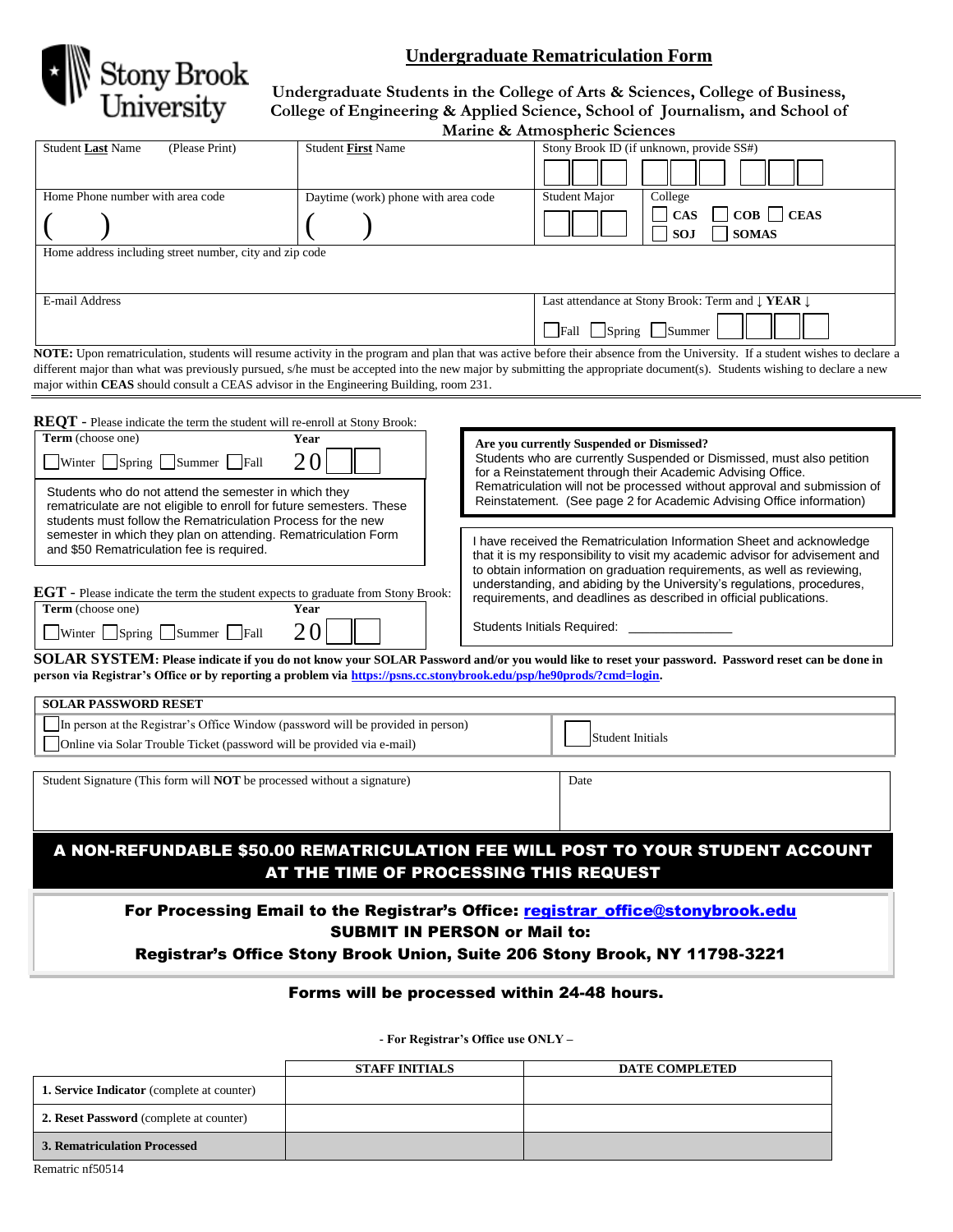

## **Undergraduate Rematriculation Form**

**Undergraduate Students in the College of Arts & Sciences, College of Business, College of Engineering & Applied Science, School of Journalism, and School of Marine & Atmospheric Sciences**

| Marine & Atmospheric |  |  |
|----------------------|--|--|
|----------------------|--|--|

|                                                                                                                                      |                                             |                                                                                                                    | <u>Malilie</u> & Atthospheric Sciences                                                                                                                                       |  |
|--------------------------------------------------------------------------------------------------------------------------------------|---------------------------------------------|--------------------------------------------------------------------------------------------------------------------|------------------------------------------------------------------------------------------------------------------------------------------------------------------------------|--|
| Student Last Name<br>(Please Print)                                                                                                  | <b>Student First Name</b>                   |                                                                                                                    | Stony Brook ID (if unknown, provide SS#)                                                                                                                                     |  |
|                                                                                                                                      |                                             |                                                                                                                    |                                                                                                                                                                              |  |
| Home Phone number with area code                                                                                                     | Daytime (work) phone with area code         |                                                                                                                    | College<br><b>Student Major</b>                                                                                                                                              |  |
|                                                                                                                                      |                                             |                                                                                                                    | <b>CAS</b><br>COB<br><b>CEAS</b>                                                                                                                                             |  |
|                                                                                                                                      |                                             |                                                                                                                    | <b>SOJ</b><br><b>SOMAS</b>                                                                                                                                                   |  |
| Home address including street number, city and zip code                                                                              |                                             |                                                                                                                    |                                                                                                                                                                              |  |
|                                                                                                                                      |                                             |                                                                                                                    |                                                                                                                                                                              |  |
| E-mail Address                                                                                                                       |                                             |                                                                                                                    | Last attendance at Stony Brook: Term and ↓ YEAR ↓                                                                                                                            |  |
|                                                                                                                                      |                                             |                                                                                                                    |                                                                                                                                                                              |  |
|                                                                                                                                      |                                             |                                                                                                                    | Fall Spring Summer                                                                                                                                                           |  |
|                                                                                                                                      |                                             |                                                                                                                    | NOTE: Upon rematriculation, students will resume activity in the program and plan that was active before their absence from the University. If a student wishes to declare a |  |
|                                                                                                                                      |                                             |                                                                                                                    | different major than what was previously pursued, s/he must be accepted into the new major by submitting the appropriate document(s). Students wishing to declare a new      |  |
| major within CEAS should consult a CEAS advisor in the Engineering Building, room 231.                                               |                                             |                                                                                                                    |                                                                                                                                                                              |  |
|                                                                                                                                      |                                             |                                                                                                                    |                                                                                                                                                                              |  |
| <b>REQT</b> - Please indicate the term the student will re-enroll at Stony Brook:<br>Term (choose one)                               | Year                                        |                                                                                                                    |                                                                                                                                                                              |  |
|                                                                                                                                      |                                             | Are you currently Suspended or Dismissed?<br>Students who are currently Suspended or Dismissed, must also petition |                                                                                                                                                                              |  |
| Winter Spring Summer Fall                                                                                                            | 20                                          | for a Reinstatement through their Academic Advising Office.                                                        |                                                                                                                                                                              |  |
| Students who do not attend the semester in which they                                                                                |                                             |                                                                                                                    | Rematriculation will not be processed without approval and submission of<br>Reinstatement. (See page 2 for Academic Advising Office information)                             |  |
| rematriculate are not eligible to enroll for future semesters. These<br>students must follow the Rematriculation Process for the new |                                             |                                                                                                                    |                                                                                                                                                                              |  |
| semester in which they plan on attending. Rematriculation Form                                                                       |                                             |                                                                                                                    | I have received the Rematriculation Information Sheet and acknowledge                                                                                                        |  |
| and \$50 Rematriculation fee is required.                                                                                            |                                             |                                                                                                                    | that it is my responsibility to visit my academic advisor for advisement and                                                                                                 |  |
|                                                                                                                                      |                                             |                                                                                                                    | to obtain information on graduation requirements, as well as reviewing,                                                                                                      |  |
| <b>EGT</b> - Please indicate the term the student expects to graduate from Stony Brook:                                              |                                             |                                                                                                                    | understanding, and abiding by the University's regulations, procedures,<br>requirements, and deadlines as described in official publications.                                |  |
| Term (choose one)                                                                                                                    | Year                                        |                                                                                                                    |                                                                                                                                                                              |  |
| Winter Spring Summer Fall                                                                                                            | Students Initials Required:<br>20           |                                                                                                                    |                                                                                                                                                                              |  |
|                                                                                                                                      |                                             |                                                                                                                    | SOLAR SYSTEM: Please indicate if you do not know your SOLAR Password and/or you would like to reset your password. Password reset can be done in                             |  |
| person via Registrar's Office or by reporting a problem via https://psns.cc.stonybrook.edu/psp/he90prods/?cmd=login.                 |                                             |                                                                                                                    |                                                                                                                                                                              |  |
|                                                                                                                                      |                                             |                                                                                                                    |                                                                                                                                                                              |  |
| <b>SOLAR PASSWORD RESET</b>                                                                                                          |                                             |                                                                                                                    |                                                                                                                                                                              |  |
| In person at the Registrar's Office Window (password will be provided in person)                                                     |                                             |                                                                                                                    | Student Initials                                                                                                                                                             |  |
| Online via Solar Trouble Ticket (password will be provided via e-mail)                                                               |                                             |                                                                                                                    |                                                                                                                                                                              |  |
|                                                                                                                                      |                                             |                                                                                                                    |                                                                                                                                                                              |  |
| Student Signature (This form will <b>NOT</b> be processed without a signature)                                                       |                                             |                                                                                                                    | Date                                                                                                                                                                         |  |
|                                                                                                                                      |                                             |                                                                                                                    |                                                                                                                                                                              |  |
|                                                                                                                                      |                                             |                                                                                                                    |                                                                                                                                                                              |  |
|                                                                                                                                      |                                             |                                                                                                                    | A NON-REFUNDABLE \$50.00 REMATRICULATION FEE WILL POST TO YOUR STUDENT ACCOUNT                                                                                               |  |
|                                                                                                                                      | AT THE TIME OF PROCESSING THIS REQUEST      |                                                                                                                    |                                                                                                                                                                              |  |
|                                                                                                                                      |                                             |                                                                                                                    |                                                                                                                                                                              |  |
|                                                                                                                                      |                                             |                                                                                                                    | For Processing Email to the Registrar's Office: registrar_office@stonybrook.edu                                                                                              |  |
|                                                                                                                                      | <b>SUBMIT IN PERSON or Mail to:</b>         |                                                                                                                    |                                                                                                                                                                              |  |
|                                                                                                                                      |                                             |                                                                                                                    | Registrar's Office Stony Brook Union, Suite 206 Stony Brook, NY 11798-3221                                                                                                   |  |
|                                                                                                                                      |                                             |                                                                                                                    |                                                                                                                                                                              |  |
|                                                                                                                                      | Forms will be processed within 24-48 hours. |                                                                                                                    |                                                                                                                                                                              |  |
|                                                                                                                                      |                                             |                                                                                                                    |                                                                                                                                                                              |  |
|                                                                                                                                      |                                             | - For Registrar's Office use ONLY -                                                                                |                                                                                                                                                                              |  |
|                                                                                                                                      |                                             |                                                                                                                    |                                                                                                                                                                              |  |

**STAFF INITIALS DATE COMPLETED 1. Service Indicator** (complete at counter) **2. Reset Password** (complete at counter) **3. Rematriculation Processed**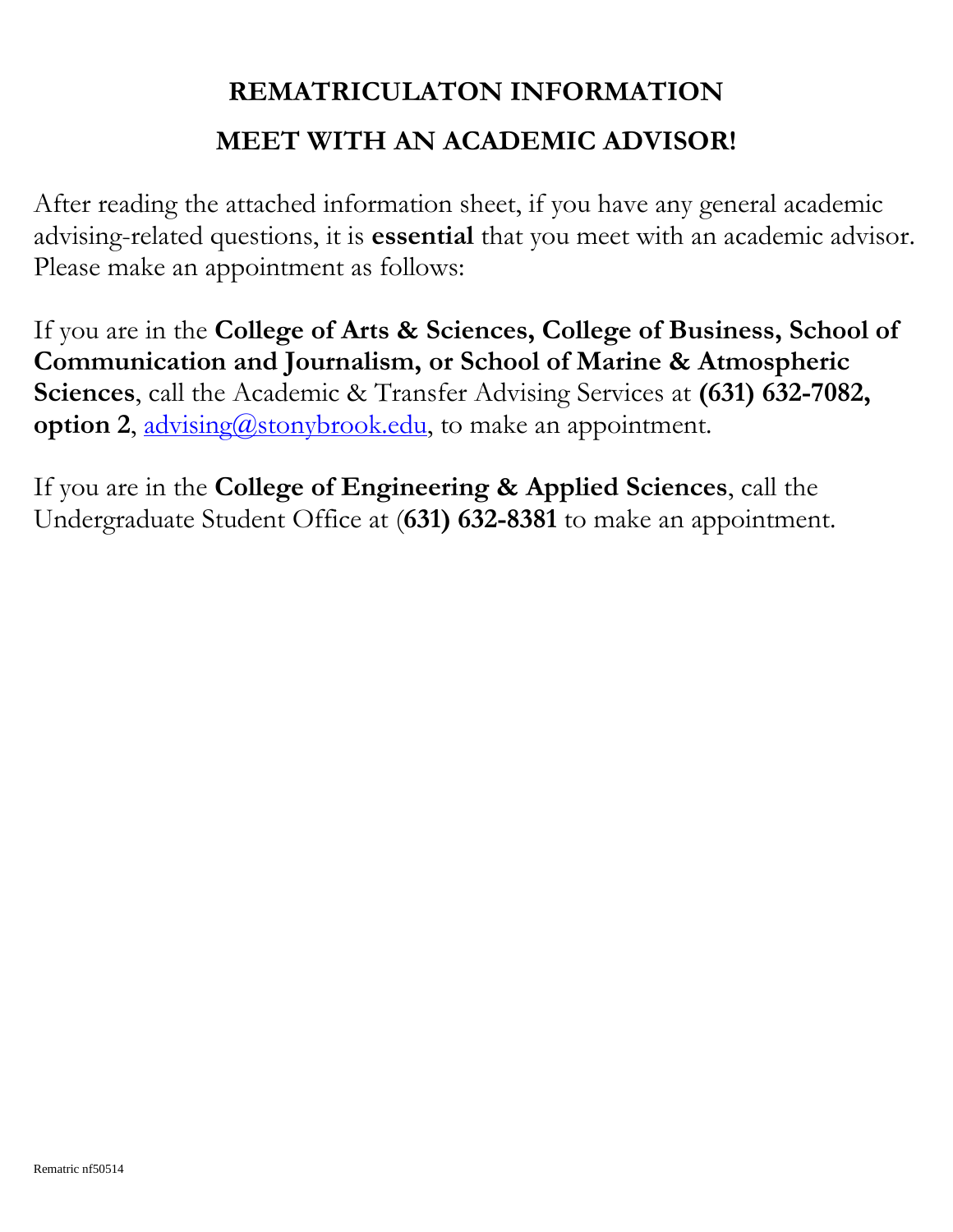## **REMATRICULATON INFORMATION MEET WITH AN ACADEMIC ADVISOR!**

After reading the attached information sheet, if you have any general academic advising-related questions, it is **essential** that you meet with an academic advisor. Please make an appointment as follows:

If you are in the **College of Arts & Sciences, College of Business, School of Communication and Journalism, or School of Marine & Atmospheric Sciences**, call the Academic & Transfer Advising Services at **(631) 632-7082, option 2, advising**@stonybrook.edu, to make an appointment.

If you are in the **College of Engineering & Applied Sciences**, call the Undergraduate Student Office at (**631) 632-8381** to make an appointment.